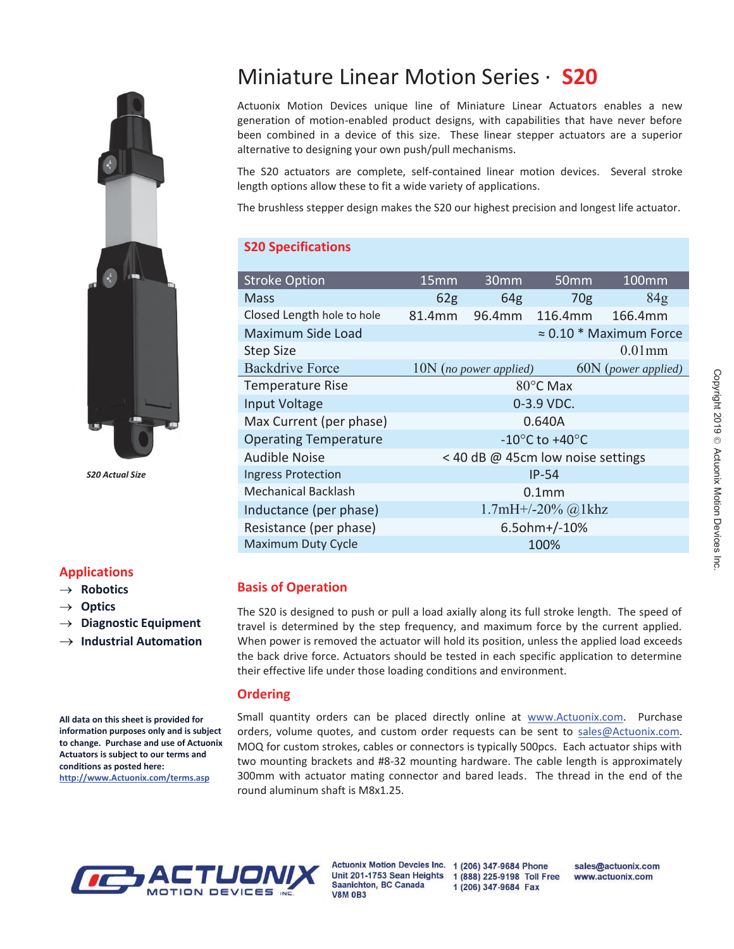

 *S20 Actual Size*

## **Applications**

#### $\rightarrow$  Robotics

- $\rightarrow$  Optics
- $\rightarrow$  Diagnostic Equipment
- $\rightarrow$  Industrial Automation

**All data on this sheet is provided for information purposes only and is subject to change. Purchase and use of Actuonix Actuators is subject to our terms and conditions as posted here: http://www.Actuonix.com/terms.asp**

# Miniature Linear Motion Series · **S20**

Actuonix Motion Devices unique line of Miniature Linear Actuators enables a new generation of motion-enabled product designs, with capabilities that have never before been combined in a device of this size. These linear stepper actuators are a superior alternative to designing your own push/pull mechanisms.

The S20 actuators are complete, self-contained linear motion devices. Several stroke length options allow these to fit a wide variety of applications.

The brushless stepper design makes the S20 our highest precision and longest life actuator.

#### **S20 Specifications**

| <b>Stroke Option</b>         | 15 <sub>mm</sub>                                     | 30 <sub>mm</sub>                  | 50 <sub>mm</sub>     | $100$ mm                       |
|------------------------------|------------------------------------------------------|-----------------------------------|----------------------|--------------------------------|
| <b>Mass</b>                  | 62 <sub>g</sub>                                      | 64 <sub>g</sub>                   | 70 <sub>g</sub>      | 84 <sub>g</sub>                |
| Closed Length hole to hole   | 81.4mm                                               | 96.4mm                            | 116.4mm              | 166.4mm                        |
| Maximum Side Load            |                                                      |                                   |                      | $\approx 0.10$ * Maximum Force |
| <b>Step Size</b>             |                                                      |                                   |                      | $0.01$ mm                      |
| <b>Backdrive Force</b>       |                                                      | $10N$ (no power applied)          |                      | 60N (power applied)            |
| <b>Temperature Rise</b>      |                                                      |                                   | 80°C Max             |                                |
| Input Voltage                | 0-3.9 VDC.                                           |                                   |                      |                                |
| Max Current (per phase)      | 0.640A                                               |                                   |                      |                                |
| <b>Operating Temperature</b> | -10 $\mathrm{^{\circ}C}$ to +40 $\mathrm{^{\circ}C}$ |                                   |                      |                                |
| <b>Audible Noise</b>         |                                                      | < 40 dB @ 45cm low noise settings |                      |                                |
| <b>Ingress Protection</b>    |                                                      |                                   | $IP-54$              |                                |
| <b>Mechanical Backlash</b>   | 0.1 <sub>mm</sub>                                    |                                   |                      |                                |
| Inductance (per phase)       |                                                      |                                   | $1.7mH+/-20%$ @ 1khz |                                |
| Resistance (per phase)       | $6.5$ ohm+ $/$ -10%                                  |                                   |                      |                                |
| <b>Maximum Duty Cycle</b>    | 100%                                                 |                                   |                      |                                |
|                              |                                                      |                                   |                      |                                |

## **Basis of Operation**

The S20 is designed to push or pull a load axially along its full stroke length. The speed of travel is determined by the step frequency, and maximum force by the current applied. When power is removed the actuator will hold its position, unless the applied load exceeds the back drive force. Actuators should be tested in each specific application to determine their effective life under those loading conditions and environment.

#### **Ordering**

Small quantity orders can be placed directly online at www.Actuonix.com. Purchase orders, volume quotes, and custom order requests can be sent to sales@Actuonix.com. MOQ for custom strokes, cables or connectors is typically 500pcs. Each actuator ships with two mounting brackets and #8-32 mounting hardware. The cable length is approximately 300mm with actuator mating connector and bared leads. The thread in the end of the round aluminum shaft is M8x1.25.



Saanichton, BC Canada **V8M 0B3** 

Actuonix Motion Devcies Inc. 1 (206) 347-9684 Phone Unit 201-1753 Sean Heights 1 (888) 225-9198 Toll Free 1 (206) 347-9684 Fax

sales@actuonix.com www.actuonix.com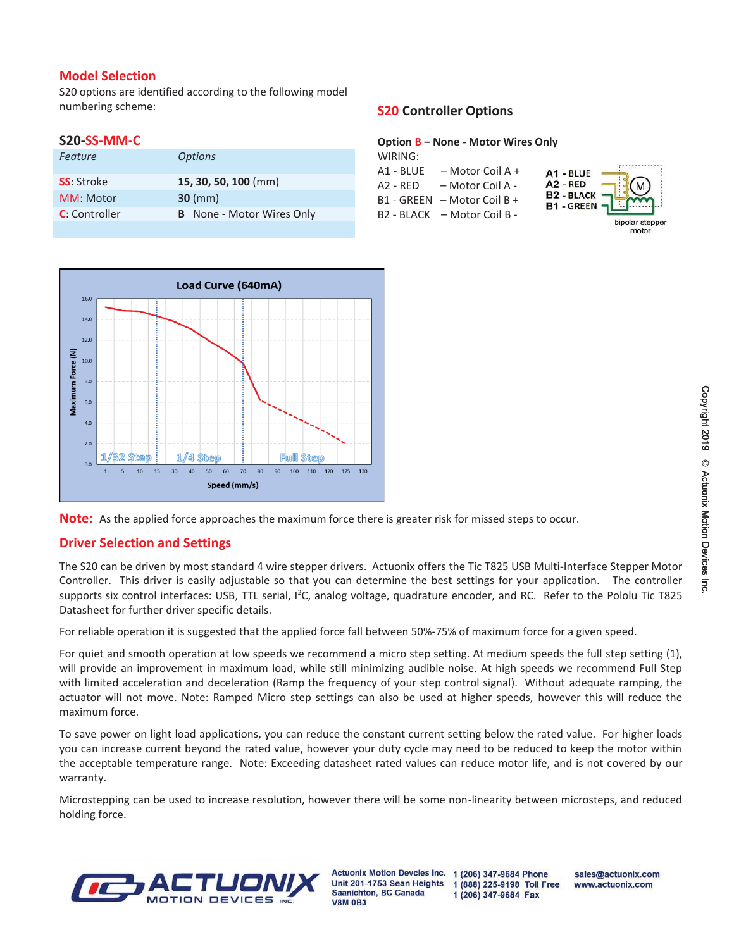#### **Model Selection**

S20 options are identified according to the following model numbering scheme:

#### **S20-SS-MM-C**

| Feature               | <b>Options</b>                   |
|-----------------------|----------------------------------|
| <b>SS</b> : Stroke    | 15, 30, 50, 100 (mm)             |
| MM: Motor             | $30 \, (mm)$                     |
| <b>C</b> : Controller | <b>B</b> None - Motor Wires Only |
|                       |                                  |

## **S20 Controller Options**

#### **Option B – None - Motor Wires Only**

| WIRING:   |                               |
|-----------|-------------------------------|
| A1 - BLUE | - Motor Coil A +              |
| A2 - RED  | – Motor Coil A -              |
|           | B1 - GREEN   – Motor Coil B + |
|           | B2 - BLACK – Motor Coil B -   |
|           |                               |







## **Driver Selection and Settings**

The S20 can be driven by most standard 4 wire stepper drivers. Actuonix offers the Tic T825 USB Multi-Interface Stepper Motor Controller. This driver is easily adjustable so that you can determine the best settings for your application. The controller supports six control interfaces: USB, TTL serial, I<sup>2</sup>C, analog voltage, quadrature encoder, and RC. Refer to the Pololu Tic T825 Datasheet for further driver specific details.

For reliable operation it is suggested that the applied force fall between 50%-75% of maximum force for a given speed.

For quiet and smooth operation at low speeds we recommend a micro step setting. At medium speeds the full step setting (1), will provide an improvement in maximum load, while still minimizing audible noise. At high speeds we recommend Full Step with limited acceleration and deceleration (Ramp the frequency of your step control signal). Without adequate ramping, the actuator will not move. Note: Ramped Micro step settings can also be used at higher speeds, however this will reduce the maximum force.

To save power on light load applications, you can reduce the constant current setting below the rated value. For higher loads you can increase current beyond the rated value, however your duty cycle may need to be reduced to keep the motor within the acceptable temperature range. Note: Exceeding datasheet rated values can reduce motor life, and is not covered by our warranty.

Microstepping can be used to increase resolution, however there will be some non-linearity between microsteps, and reduced holding force.



**Actuonix Motion Devcies Inc.** Unit 201-1753 Sean Heights **Saanichton, BC Canada V8M 0B3** 

1 (206) 347-9684 Phone 1 (888) 225-9198 Toll Free 1 (206) 347-9684 Fax

sales@actuonix.com www.actuonix.com